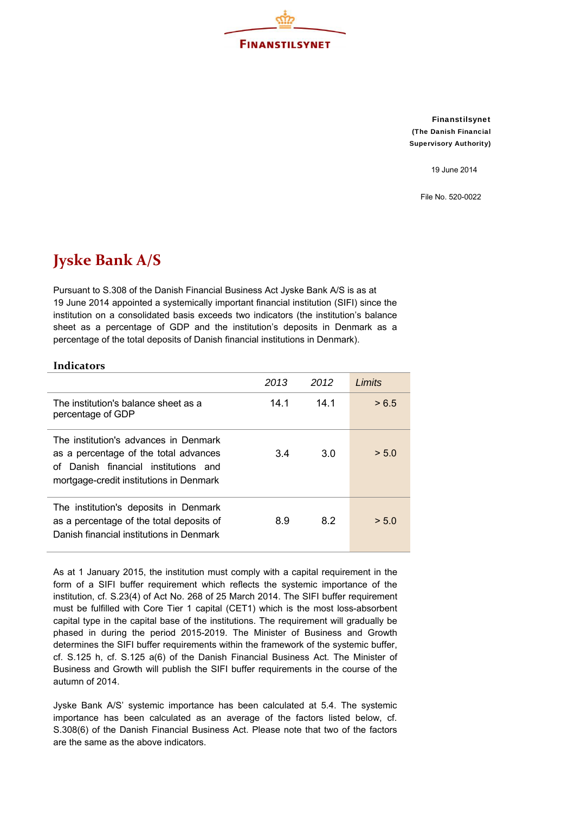

Finanstilsynet (The Danish Financial Supervisory Authority)

19 June 2014

File No. 520-0022

## **Jyske Bank A/S**

Pursuant to S.308 of the Danish Financial Business Act Jyske Bank A/S is as at 19 June 2014 appointed a systemically important financial institution (SIFI) since the institution on a consolidated basis exceeds two indicators (the institution's balance sheet as a percentage of GDP and the institution's deposits in Denmark as a percentage of the total deposits of Danish financial institutions in Denmark).

## **Indicators**

|                                                                                                                                                                   | 2013 | 2012 | I imits |
|-------------------------------------------------------------------------------------------------------------------------------------------------------------------|------|------|---------|
| The institution's balance sheet as a<br>percentage of GDP                                                                                                         | 14.1 | 14 1 | > 6.5   |
| The institution's advances in Denmark<br>as a percentage of the total advances<br>of Danish financial institutions and<br>mortgage-credit institutions in Denmark | 3.4  | 3.0  | > 5.0   |
| The institution's deposits in Denmark<br>as a percentage of the total deposits of<br>Danish financial institutions in Denmark                                     | 8.9  | 8.2  | > 5.0   |

As at 1 January 2015, the institution must comply with a capital requirement in the form of a SIFI buffer requirement which reflects the systemic importance of the institution, cf. S.23(4) of Act No. 268 of 25 March 2014. The SIFI buffer requirement must be fulfilled with Core Tier 1 capital (CET1) which is the most loss-absorbent capital type in the capital base of the institutions. The requirement will gradually be phased in during the period 2015-2019. The Minister of Business and Growth determines the SIFI buffer requirements within the framework of the systemic buffer, cf. S.125 h, cf. S.125 a(6) of the Danish Financial Business Act. The Minister of Business and Growth will publish the SIFI buffer requirements in the course of the autumn of 2014.

Jyske Bank A/S' systemic importance has been calculated at 5.4. The systemic importance has been calculated as an average of the factors listed below, cf. S.308(6) of the Danish Financial Business Act. Please note that two of the factors are the same as the above indicators.